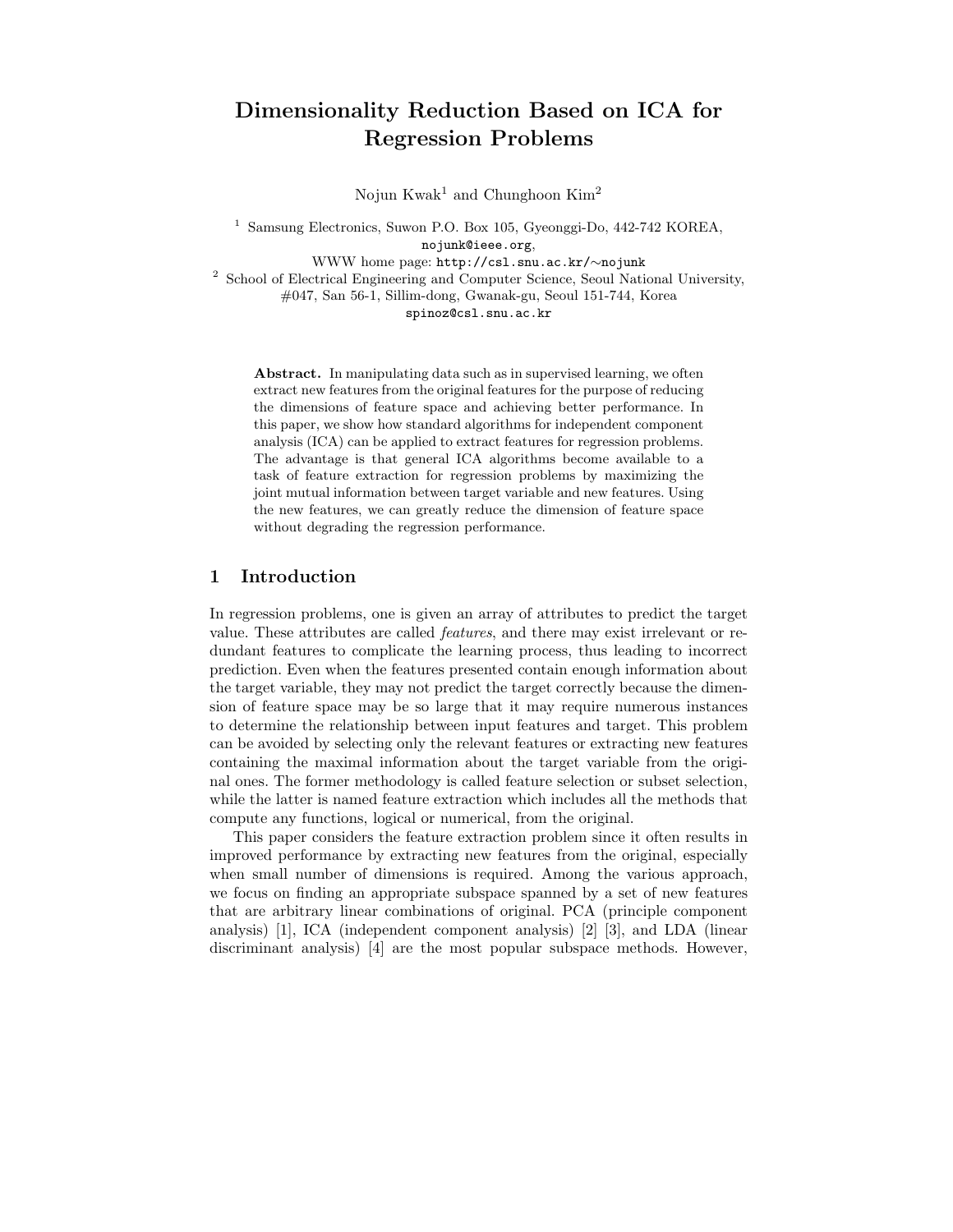# Dimensionality Reduction Based on ICA for Regression Problems

Nojun Kwak<sup>1</sup> and Chunghoon Kim<sup>2</sup>

<sup>1</sup> Samsung Electronics, Suwon P.O. Box 105, Gyeonggi-Do, 442-742 KOREA, nojunk@ieee.org, WWW home page: http://csl.snu.ac.kr/∼nojunk <sup>2</sup> School of Electrical Engineering and Computer Science, Seoul National University, #047, San 56-1, Sillim-dong, Gwanak-gu, Seoul 151-744, Korea spinoz@csl.snu.ac.kr

Abstract. In manipulating data such as in supervised learning, we often extract new features from the original features for the purpose of reducing the dimensions of feature space and achieving better performance. In this paper, we show how standard algorithms for independent component analysis (ICA) can be applied to extract features for regression problems. The advantage is that general ICA algorithms become available to a task of feature extraction for regression problems by maximizing the joint mutual information between target variable and new features. Using the new features, we can greatly reduce the dimension of feature space without degrading the regression performance.

## 1 Introduction

In regression problems, one is given an array of attributes to predict the target value. These attributes are called features, and there may exist irrelevant or redundant features to complicate the learning process, thus leading to incorrect prediction. Even when the features presented contain enough information about the target variable, they may not predict the target correctly because the dimension of feature space may be so large that it may require numerous instances to determine the relationship between input features and target. This problem can be avoided by selecting only the relevant features or extracting new features containing the maximal information about the target variable from the original ones. The former methodology is called feature selection or subset selection, while the latter is named feature extraction which includes all the methods that compute any functions, logical or numerical, from the original.

This paper considers the feature extraction problem since it often results in improved performance by extracting new features from the original, especially when small number of dimensions is required. Among the various approach, we focus on finding an appropriate subspace spanned by a set of new features that are arbitrary linear combinations of original. PCA (principle component analysis) [1], ICA (independent component analysis) [2] [3], and LDA (linear discriminant analysis) [4] are the most popular subspace methods. However,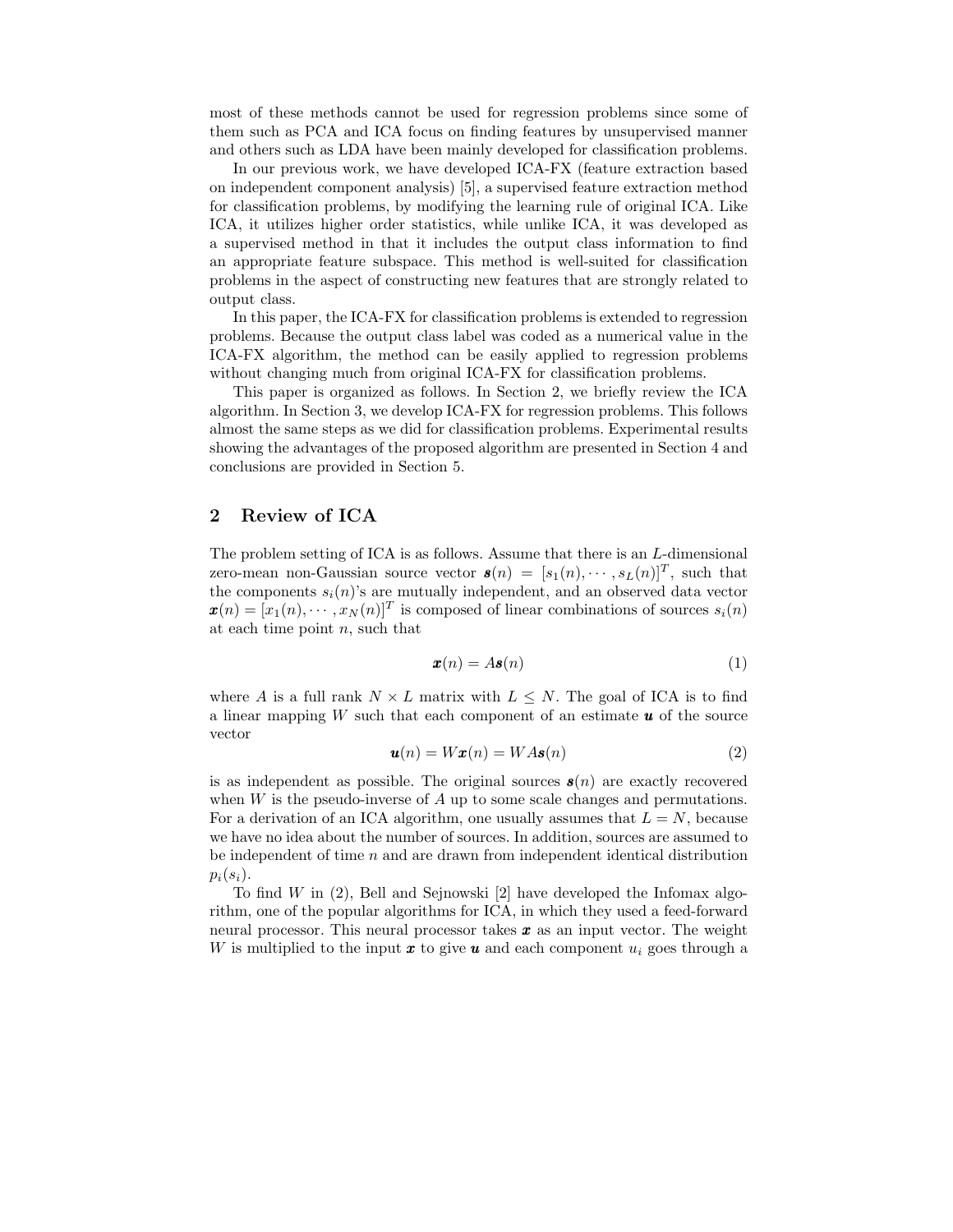most of these methods cannot be used for regression problems since some of them such as PCA and ICA focus on finding features by unsupervised manner and others such as LDA have been mainly developed for classification problems.

In our previous work, we have developed ICA-FX (feature extraction based on independent component analysis) [5], a supervised feature extraction method for classification problems, by modifying the learning rule of original ICA. Like ICA, it utilizes higher order statistics, while unlike ICA, it was developed as a supervised method in that it includes the output class information to find an appropriate feature subspace. This method is well-suited for classification problems in the aspect of constructing new features that are strongly related to output class.

In this paper, the ICA-FX for classification problems is extended to regression problems. Because the output class label was coded as a numerical value in the ICA-FX algorithm, the method can be easily applied to regression problems without changing much from original ICA-FX for classification problems.

This paper is organized as follows. In Section 2, we briefly review the ICA algorithm. In Section 3, we develop ICA-FX for regression problems. This follows almost the same steps as we did for classification problems. Experimental results showing the advantages of the proposed algorithm are presented in Section 4 and conclusions are provided in Section 5.

## 2 Review of ICA

The problem setting of ICA is as follows. Assume that there is an L-dimensional zero-mean non-Gaussian source vector  $\mathbf{s}(n) = [s_1(n), \cdots, s_L(n)]^T$ , such that the components  $s_i(n)$ 's are mutually independent, and an observed data vector  $\boldsymbol{x}(n) = [x_1(n), \cdots, x_N(n)]^T$  is composed of linear combinations of sources  $s_i(n)$ at each time point  $n$ , such that

$$
\mathbf{x}(n) = A\mathbf{s}(n) \tag{1}
$$

where A is a full rank  $N \times L$  matrix with  $L \leq N$ . The goal of ICA is to find a linear mapping  $W$  such that each component of an estimate  $u$  of the source vector

$$
\mathbf{u}(n) = W\mathbf{x}(n) = W A\mathbf{s}(n) \tag{2}
$$

is as independent as possible. The original sources  $s(n)$  are exactly recovered when  $W$  is the pseudo-inverse of  $A$  up to some scale changes and permutations. For a derivation of an ICA algorithm, one usually assumes that  $L = N$ , because we have no idea about the number of sources. In addition, sources are assumed to be independent of time  $n$  and are drawn from independent identical distribution  $p_i(s_i)$ .

To find  $W$  in (2), Bell and Sejnowski [2] have developed the Infomax algorithm, one of the popular algorithms for ICA, in which they used a feed-forward neural processor. This neural processor takes  $x$  as an input vector. The weight W is multiplied to the input  $\boldsymbol{x}$  to give  $\boldsymbol{u}$  and each component  $u_i$  goes through a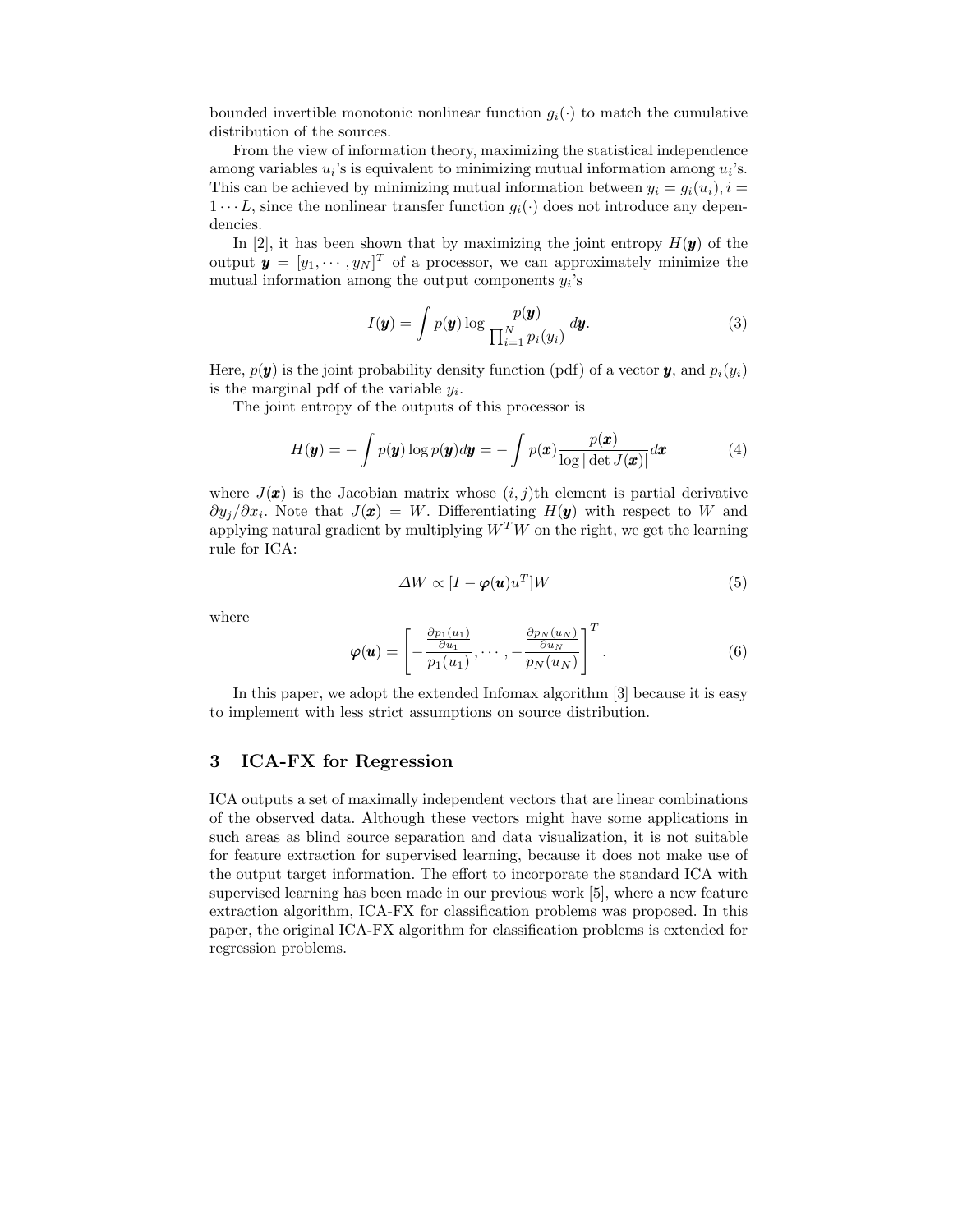bounded invertible monotonic nonlinear function  $g_i(\cdot)$  to match the cumulative distribution of the sources.

From the view of information theory, maximizing the statistical independence among variables  $u_i$ 's is equivalent to minimizing mutual information among  $u_i$ 's. This can be achieved by minimizing mutual information between  $y_i = g_i(u_i)$ ,  $i =$  $1 \cdots L$ , since the nonlinear transfer function  $g_i(\cdot)$  does not introduce any dependencies.

In [2], it has been shown that by maximizing the joint entropy  $H(\mathbf{y})$  of the output  $\mathbf{y} = [y_1, \dots, y_N]^T$  of a processor, we can approximately minimize the mutual information among the output components  $y_i$ 's

$$
I(\mathbf{y}) = \int p(\mathbf{y}) \log \frac{p(\mathbf{y})}{\prod_{i=1}^{N} p_i(y_i)} d\mathbf{y}.
$$
 (3)

Here,  $p(\boldsymbol{y})$  is the joint probability density function (pdf) of a vector **y**, and  $p_i(y_i)$ is the marginal pdf of the variable  $y_i$ .

The joint entropy of the outputs of this processor is

$$
H(\mathbf{y}) = -\int p(\mathbf{y}) \log p(\mathbf{y}) d\mathbf{y} = -\int p(\mathbf{x}) \frac{p(\mathbf{x})}{\log|\det J(\mathbf{x})|} d\mathbf{x}
$$
 (4)

where  $J(\boldsymbol{x})$  is the Jacobian matrix whose  $(i, j)$ th element is partial derivative  $\partial y_j/\partial x_i$ . Note that  $J(\mathbf{x}) = W$ . Differentiating  $H(\mathbf{y})$  with respect to W and applying natural gradient by multiplying  $W<sup>T</sup>W$  on the right, we get the learning rule for ICA:

$$
\Delta W \propto [I - \boldsymbol{\varphi}(\boldsymbol{u})u^T]W
$$
\n(5)

where

$$
\boldsymbol{\varphi}(\boldsymbol{u}) = \left[ -\frac{\frac{\partial p_1(u_1)}{\partial u_1}}{p_1(u_1)}, \cdots, -\frac{\frac{\partial p_N(u_N)}{\partial u_N}}{p_N(u_N)} \right]^T.
$$
(6)

In this paper, we adopt the extended Infomax algorithm [3] because it is easy to implement with less strict assumptions on source distribution.

### 3 ICA-FX for Regression

ICA outputs a set of maximally independent vectors that are linear combinations of the observed data. Although these vectors might have some applications in such areas as blind source separation and data visualization, it is not suitable for feature extraction for supervised learning, because it does not make use of the output target information. The effort to incorporate the standard ICA with supervised learning has been made in our previous work [5], where a new feature extraction algorithm, ICA-FX for classification problems was proposed. In this paper, the original ICA-FX algorithm for classification problems is extended for regression problems.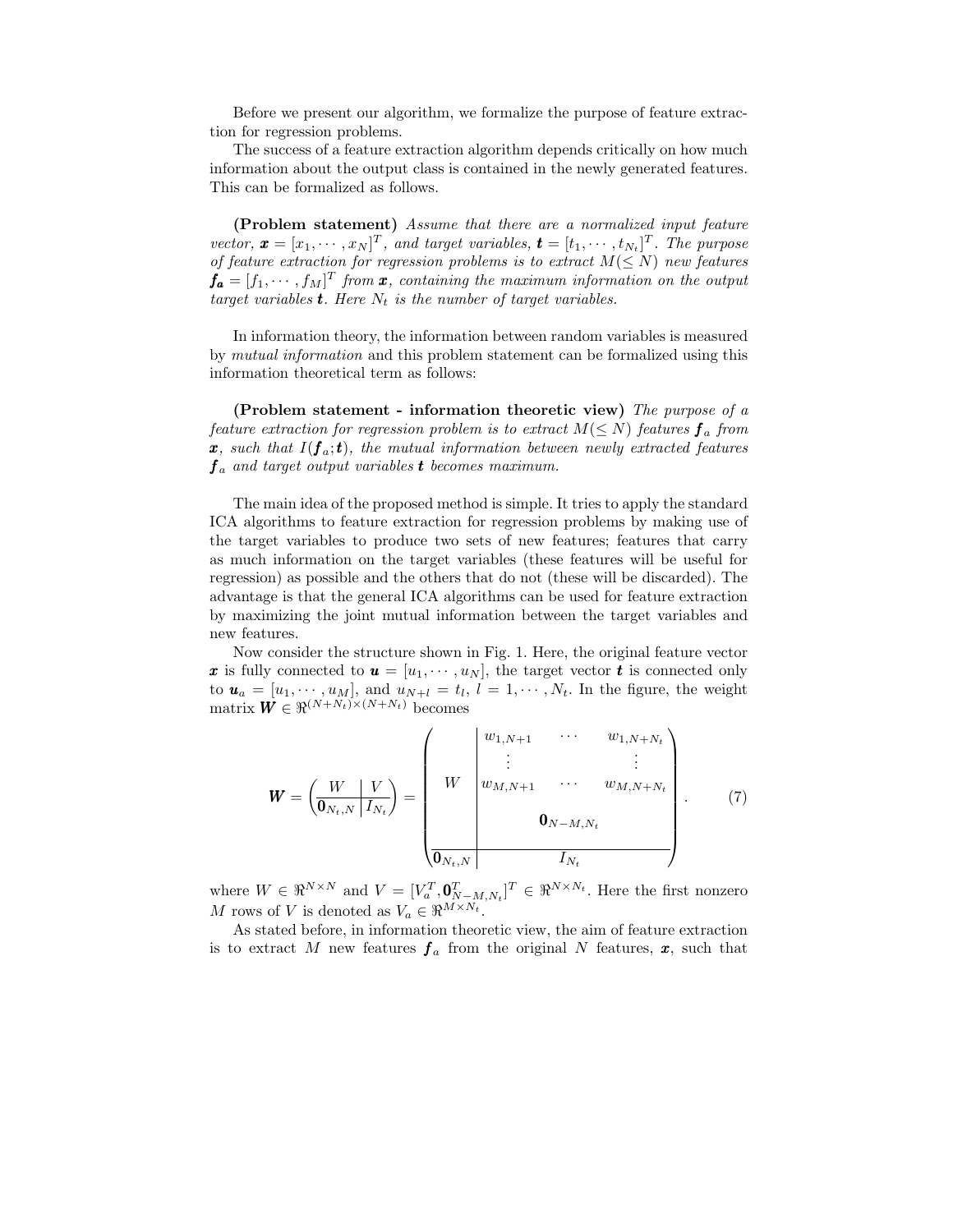Before we present our algorithm, we formalize the purpose of feature extraction for regression problems.

The success of a feature extraction algorithm depends critically on how much information about the output class is contained in the newly generated features. This can be formalized as follows.

(Problem statement) Assume that there are a normalized input feature vector,  $\boldsymbol{x} = [x_1, \dots, x_N]^T$ , and target variables,  $\boldsymbol{t} = [t_1, \dots, t_{N_t}]^T$ . The purpose of feature extraction for regression problems is to extract  $M(\leq N)$  new features  $\mathbf{f_a} = [f_1, \cdots, f_M]^T$  from  $\mathbf{x}$ , containing the maximum information on the output target variables **t**. Here  $N_t$  is the number of target variables.

In information theory, the information between random variables is measured by mutual information and this problem statement can be formalized using this information theoretical term as follows:

(Problem statement - information theoretic view) The purpose of a feature extraction for regression problem is to extract  $M(\leq N)$  features  $f_a$  from  $\mathbf{x}, \text{ such that } I(\mathbf{f}_a; \mathbf{t}), \text{ the mutual information between newly extracted features}$  $\boldsymbol{f}_a$  and target output variables **t** becomes maximum.

The main idea of the proposed method is simple. It tries to apply the standard ICA algorithms to feature extraction for regression problems by making use of the target variables to produce two sets of new features; features that carry as much information on the target variables (these features will be useful for regression) as possible and the others that do not (these will be discarded). The advantage is that the general ICA algorithms can be used for feature extraction by maximizing the joint mutual information between the target variables and new features.

Now consider the structure shown in Fig. 1. Here, the original feature vector x is fully connected to  $\boldsymbol{u} = [u_1, \dots, u_N]$ , the target vector t is connected only to  $\mathbf{u}_a = [u_1, \dots, u_M]$ , and  $u_{N+l} = t_l$ ,  $l = 1, \dots, N_t$ . In the figure, the weight matrix  $\mathbf{W} \in \mathbb{R}^{(N+N_t)\times(N+N_t)}$  becomes

$$
W = \left(\frac{W}{\mathbf{0}_{N_t,N}} \left| \frac{V}{I_{N_t}}\right.\right) = \left(\begin{array}{cccc} w_{1,N+1} & \cdots & w_{1,N+N_t} \\ \vdots & & \vdots \\ w_{M,N+1} & \cdots & w_{M,N+N_t} \\ 0_{N-M,N_t} & & & \\ \hline 0_{N_t,N} & & & I_{N_t} \end{array}\right). \tag{7}
$$

where  $W \in \mathbb{R}^{N \times N}$  and  $V = [V_a^T, \mathbf{0}_{N-M,N_t}^T]^T \in \mathbb{R}^{N \times N_t}$ . Here the first nonzero M rows of V is denoted as  $V_a \in \mathbb{R}^{M \times N_t}$ .

As stated before, in information theoretic view, the aim of feature extraction is to extract M new features  $f_a$  from the original N features,  $x$ , such that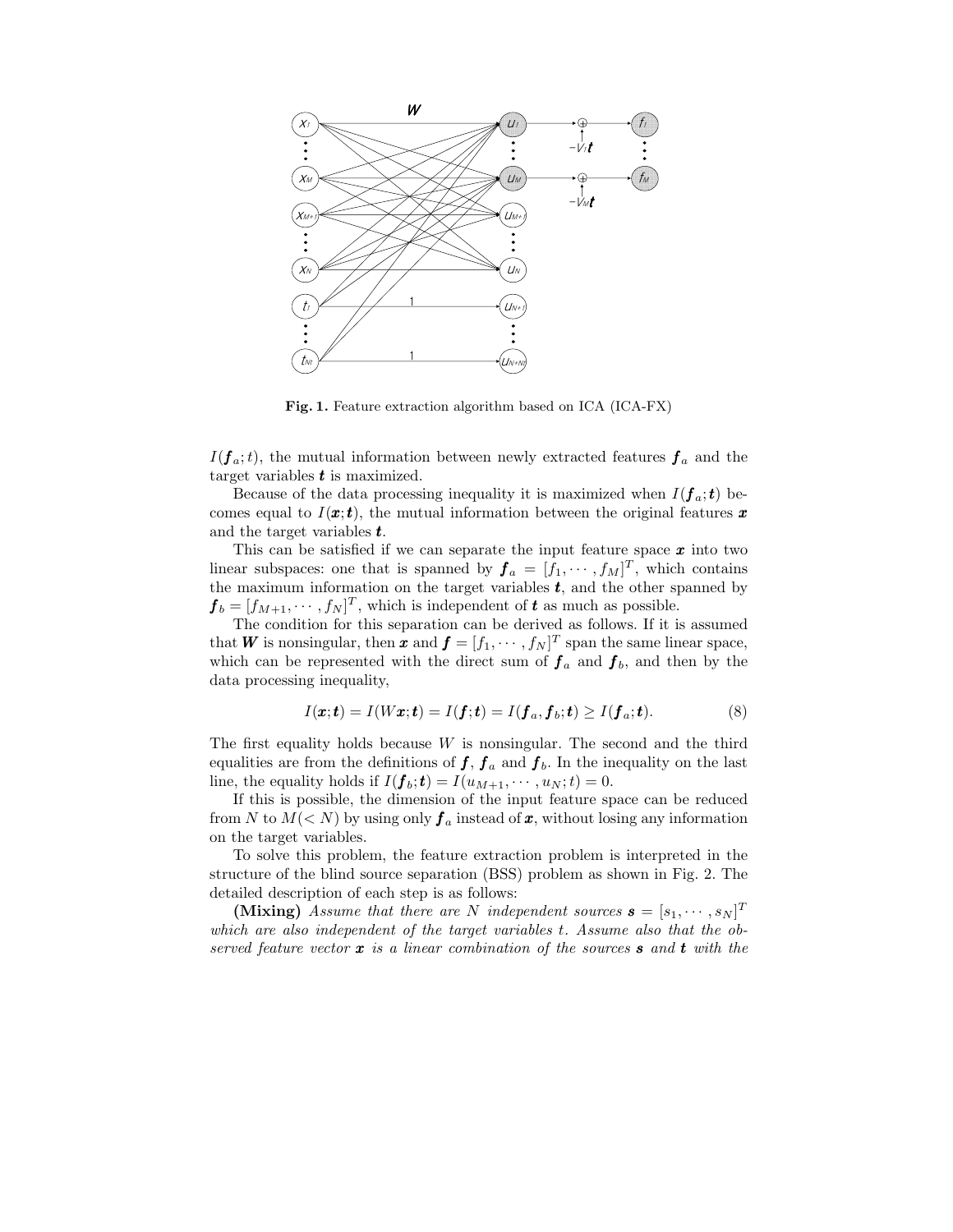

Fig. 1. Feature extraction algorithm based on ICA (ICA-FX)

 $I(\boldsymbol{f}_a;t)$ , the mutual information between newly extracted features  $\boldsymbol{f}_a$  and the target variables  $t$  is maximized.

Because of the data processing inequality it is maximized when  $I(\boldsymbol{f}_a;\boldsymbol{t})$  becomes equal to  $I(\boldsymbol{x};t)$ , the mutual information between the original features  $\boldsymbol{x}$ and the target variables  $t$ .

This can be satisfied if we can separate the input feature space  $x$  into two linear subspaces: one that is spanned by  $f_a = [f_1, \dots, f_M]^T$ , which contains the maximum information on the target variables  $t$ , and the other spanned by  $\boldsymbol{f}_b = [f_{M+1}, \cdots, f_N]^T$ , which is independent of  $\boldsymbol{t}$  as much as possible.

The condition for this separation can be derived as follows. If it is assumed that **W** is nonsingular, then **x** and  $f = [f_1, \cdots, f_N]^T$  span the same linear space, which can be represented with the direct sum of  $f_a$  and  $f_b$ , and then by the data processing inequality,

$$
I(\boldsymbol{x};\boldsymbol{t})=I(W\boldsymbol{x};\boldsymbol{t})=I(\boldsymbol{f};\boldsymbol{t})=I(\boldsymbol{f}_a,\boldsymbol{f}_b;\boldsymbol{t})\geq I(\boldsymbol{f}_a;\boldsymbol{t}).
$$
\n(8)

The first equality holds because  $W$  is nonsingular. The second and the third equalities are from the definitions of  $f, f_a$  and  $f_b$ . In the inequality on the last line, the equality holds if  $I(\boldsymbol{f}_b; \boldsymbol{t}) = I(u_{M+1}, \cdots, u_N; t) = 0.$ 

If this is possible, the dimension of the input feature space can be reduced from N to  $M(< N)$  by using only  $f_a$  instead of x, without losing any information on the target variables.

To solve this problem, the feature extraction problem is interpreted in the structure of the blind source separation (BSS) problem as shown in Fig. 2. The detailed description of each step is as follows:

(Mixing) Assume that there are N independent sources  $\mathbf{s} = [s_1, \cdots, s_N]^T$ which are also independent of the target variables t. Assume also that the observed feature vector  $\boldsymbol{x}$  is a linear combination of the sources **s** and **t** with the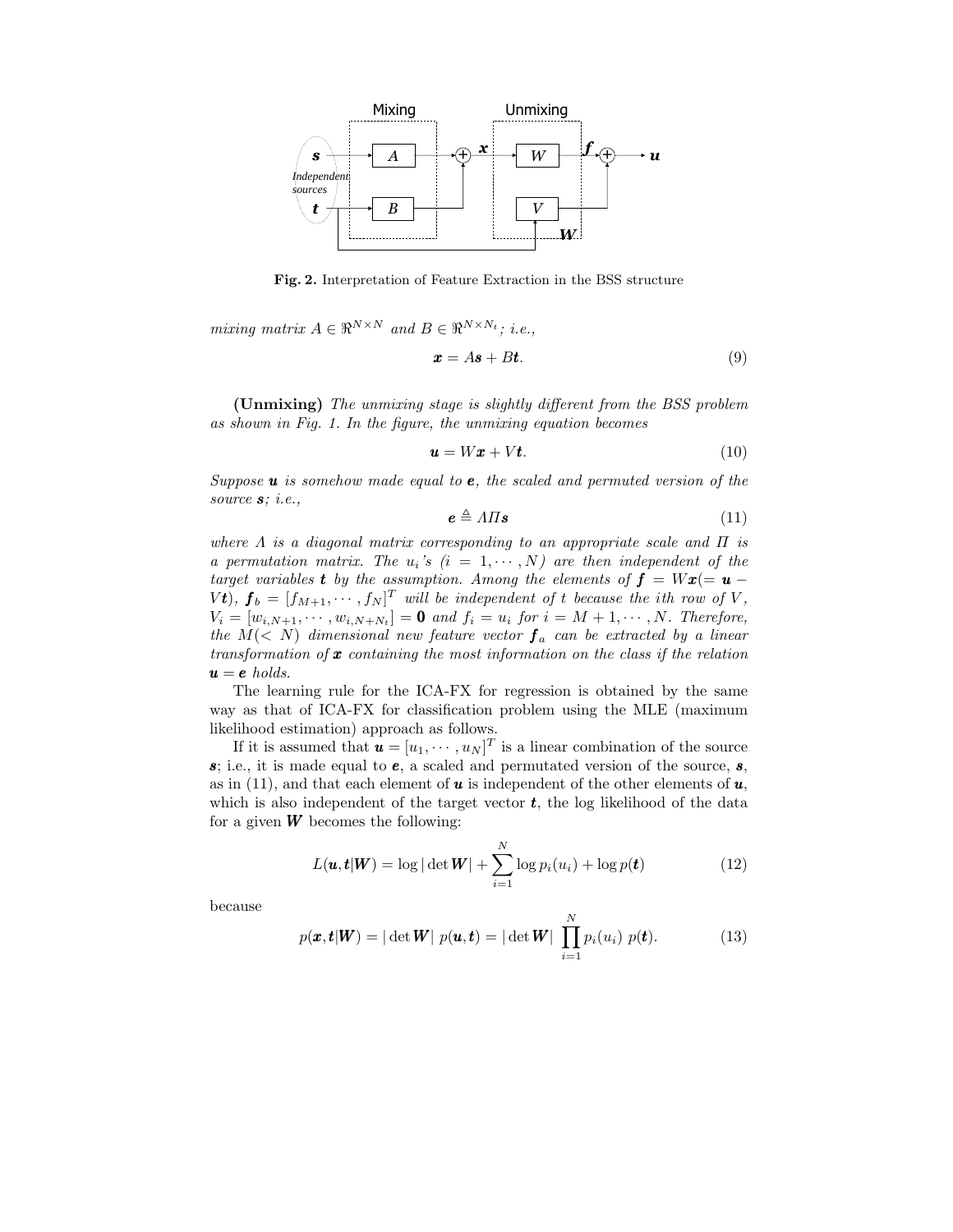

Fig. 2. Interpretation of Feature Extraction in the BSS structure

mixing matrix  $A \in \mathbb{R}^{N \times N}$  and  $B \in \mathbb{R}^{N \times N_t}$ ; i.e.,

$$
x = As + Bt. \tag{9}
$$

(Unmixing) The unmixing stage is slightly different from the BSS problem as shown in Fig. 1. In the figure, the unmixing equation becomes

$$
\mathbf{u} = W\mathbf{x} + V\mathbf{t}.\tag{10}
$$

Suppose  $\boldsymbol{u}$  is somehow made equal to  $\boldsymbol{e}$ , the scaled and permuted version of the source  $s$ ; *i.e.*,

$$
e \triangleq \Lambda \Pi s \tag{11}
$$

where  $\Lambda$  is a diagonal matrix corresponding to an appropriate scale and  $\Pi$  is a permutation matrix. The  $u_i$ 's  $(i = 1, \dots, N)$  are then independent of the target variables **t** by the assumption. Among the elements of  $f = Wx (= u V$ **t**),  $\boldsymbol{f}_b = [f_{M+1}, \cdots, f_N]^T$  will be independent of t because the ith row of V,  $V_i = [w_{i,N+1}, \cdots, w_{i,N+N_t}] = \mathbf{0}$  and  $f_i = u_i$  for  $i = M+1, \cdots, N$ . Therefore, the  $M(< N)$  dimensional new feature vector  $f_a$  can be extracted by a linear transformation of  $\boldsymbol{x}$  containing the most information on the class if the relation  $u = e$  holds.

The learning rule for the ICA-FX for regression is obtained by the same way as that of ICA-FX for classification problem using the MLE (maximum likelihood estimation) approach as follows.

If it is assumed that  $\mathbf{u} = [u_1, \cdots, u_N]^T$  is a linear combination of the source  $s$ ; i.e., it is made equal to  $e$ , a scaled and permutated version of the source,  $s$ , as in (11), and that each element of **u** is independent of the other elements of **u**, which is also independent of the target vector  $t$ , the log likelihood of the data for a given  $W$  becomes the following:

$$
L(\boldsymbol{u}, \boldsymbol{t}|\boldsymbol{W}) = \log |\det \boldsymbol{W}| + \sum_{i=1}^{N} \log p_i(u_i) + \log p(\boldsymbol{t})
$$
(12)

because

$$
p(\boldsymbol{x}, \boldsymbol{t} | \boldsymbol{W}) = |\det \boldsymbol{W}| \ p(\boldsymbol{u}, \boldsymbol{t}) = |\det \boldsymbol{W}| \ \prod_{i=1}^{N} p_i(u_i) \ p(\boldsymbol{t}). \tag{13}
$$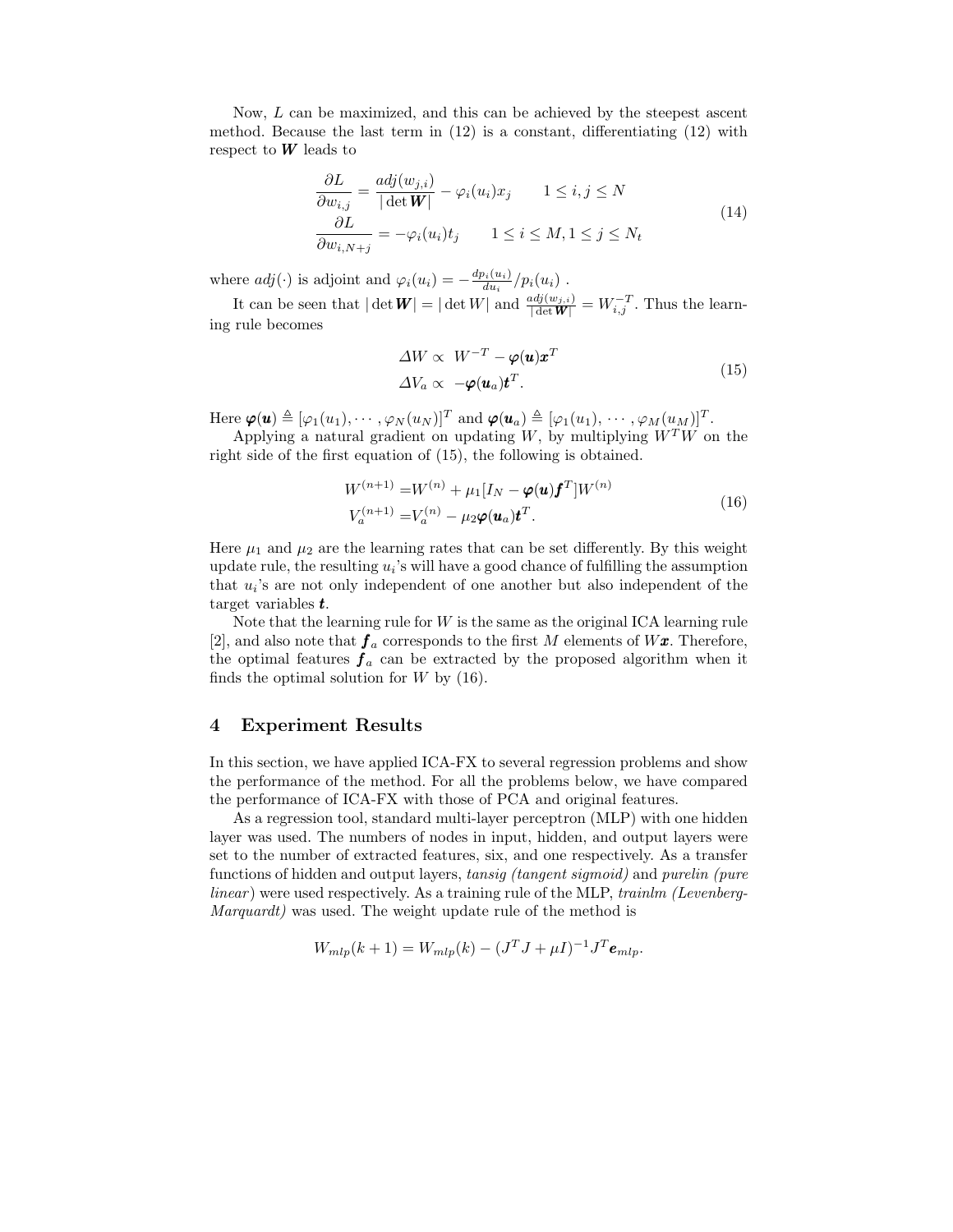Now, L can be maximized, and this can be achieved by the steepest ascent method. Because the last term in  $(12)$  is a constant, differentiating  $(12)$  with respect to  $W$  leads to

$$
\frac{\partial L}{\partial w_{i,j}} = \frac{adj(w_{j,i})}{|\det \mathbf{W}|} - \varphi_i(u_i)x_j \qquad 1 \le i, j \le N
$$
\n
$$
\frac{\partial L}{\partial w_{i,N+j}} = -\varphi_i(u_i)t_j \qquad 1 \le i \le M, 1 \le j \le N_t
$$
\n(14)

where  $adj(\cdot)$  is adjoint and  $\varphi_i(u_i) = -\frac{dp_i(u_i)}{du_i}$  $\frac{\partial i(u_i)}{\partial u_i}/p_i(u_i)$ .

It can be seen that  $|\det W| = |\det W|$  and  $\frac{adj(w_{j,i})}{|\det W|} = W_{i,j}^{-T}$ . Thus the learning rule becomes

$$
\Delta W \propto W^{-T} - \varphi(\mathbf{u}) \mathbf{x}^T
$$
  
\n
$$
\Delta V_a \propto -\varphi(\mathbf{u}_a) \mathbf{t}^T.
$$
\n(15)

Here  $\boldsymbol{\varphi}(\boldsymbol{u}) \triangleq [\varphi_1(u_1), \cdots, \varphi_N(u_N)]^T$  and  $\boldsymbol{\varphi}(\boldsymbol{u}_a) \triangleq [\varphi_1(u_1), \cdots, \varphi_M(u_M)]^T$ .

Applying a natural gradient on updating  $W$ , by multiplying  $W^TW$  on the right side of the first equation of (15), the following is obtained.

$$
W^{(n+1)} = W^{(n)} + \mu_1[I_N - \varphi(\mathbf{u})\mathbf{f}^T]W^{(n)}
$$
  
\n
$$
V_a^{(n+1)} = V_a^{(n)} - \mu_2\varphi(\mathbf{u}_a)\mathbf{t}^T.
$$
\n(16)

Here  $\mu_1$  and  $\mu_2$  are the learning rates that can be set differently. By this weight update rule, the resulting  $u_i$ 's will have a good chance of fulfilling the assumption that  $u_i$ 's are not only independent of one another but also independent of the target variables t.

Note that the learning rule for  $W$  is the same as the original ICA learning rule [2], and also note that  $f_a$  corresponds to the first M elements of  $W\mathbf{x}$ . Therefore, the optimal features  $f_a$  can be extracted by the proposed algorithm when it finds the optimal solution for  $W$  by  $(16)$ .

### 4 Experiment Results

In this section, we have applied ICA-FX to several regression problems and show the performance of the method. For all the problems below, we have compared the performance of ICA-FX with those of PCA and original features.

As a regression tool, standard multi-layer perceptron (MLP) with one hidden layer was used. The numbers of nodes in input, hidden, and output layers were set to the number of extracted features, six, and one respectively. As a transfer functions of hidden and output layers, tansig (tangent sigmoid) and purelin (pure linear) were used respectively. As a training rule of the MLP, trainlm (Levenberg-Marquardt) was used. The weight update rule of the method is

$$
W_{mlp}(k+1) = W_{mlp}(k) - (J^T J + \mu I)^{-1} J^T \mathbf{e}_{mlp}.
$$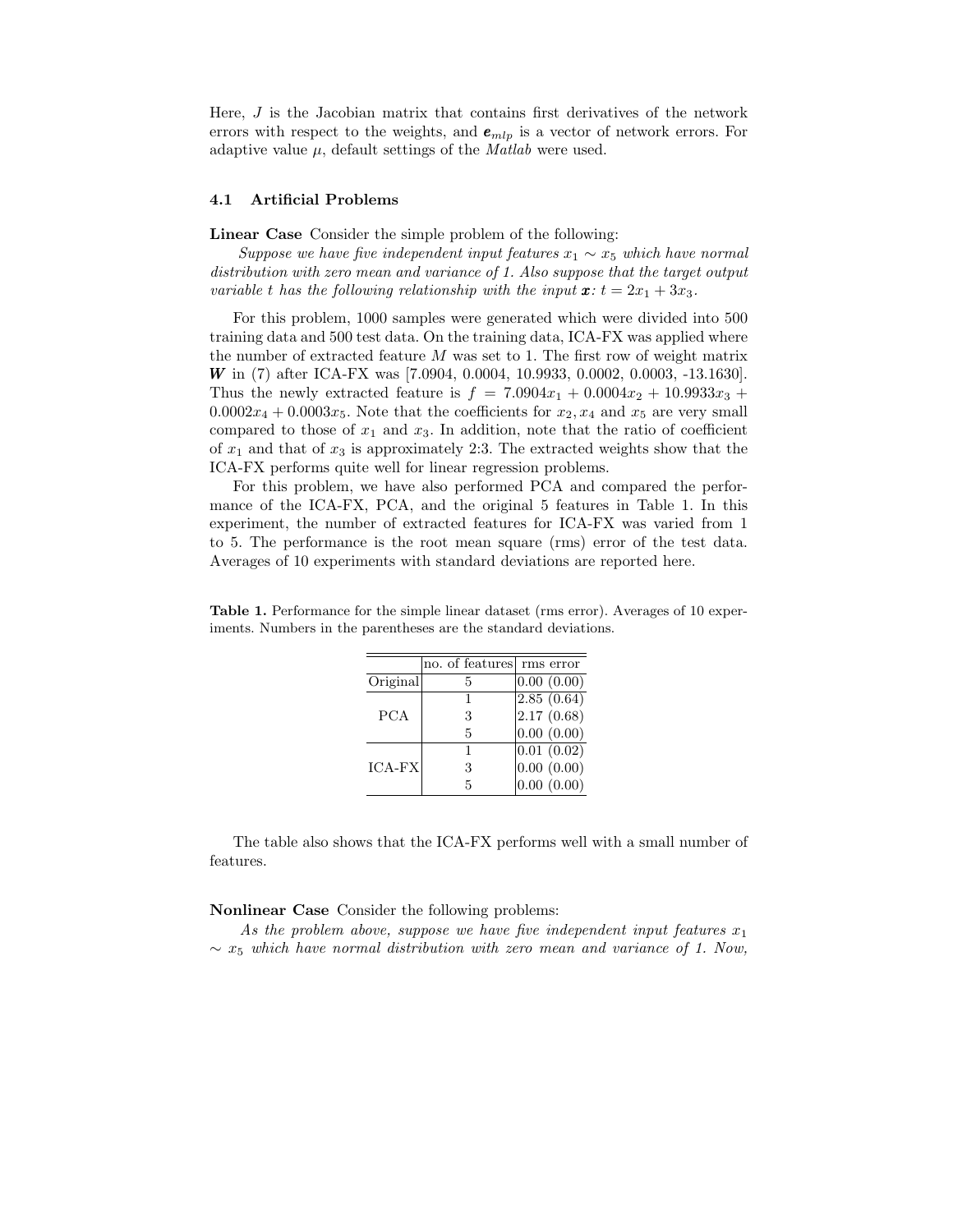Here, J is the Jacobian matrix that contains first derivatives of the network errors with respect to the weights, and  $e_{mlp}$  is a vector of network errors. For adaptive value  $\mu$ , default settings of the *Matlab* were used.

#### 4.1 Artificial Problems

Linear Case Consider the simple problem of the following:

Suppose we have five independent input features  $x_1 \sim x_5$  which have normal distribution with zero mean and variance of 1. Also suppose that the target output variable t has the following relationship with the input  $\mathbf{x}: t = 2x_1 + 3x_3$ .

For this problem, 1000 samples were generated which were divided into 500 training data and 500 test data. On the training data, ICA-FX was applied where the number of extracted feature  $M$  was set to 1. The first row of weight matrix W in (7) after ICA-FX was [7.0904, 0.0004, 10.9933, 0.0002, 0.0003, -13.1630]. Thus the newly extracted feature is  $f = 7.0904x_1 + 0.0004x_2 + 10.9933x_3 +$  $0.0002x_4 + 0.0003x_5$ . Note that the coefficients for  $x_2, x_4$  and  $x_5$  are very small compared to those of  $x_1$  and  $x_3$ . In addition, note that the ratio of coefficient of  $x_1$  and that of  $x_3$  is approximately 2:3. The extracted weights show that the ICA-FX performs quite well for linear regression problems.

For this problem, we have also performed PCA and compared the performance of the ICA-FX, PCA, and the original 5 features in Table 1. In this experiment, the number of extracted features for ICA-FX was varied from 1 to 5. The performance is the root mean square (rms) error of the test data. Averages of 10 experiments with standard deviations are reported here.

|            | no. of features | rms error  |
|------------|-----------------|------------|
| Original   | 5               | 0.00(0.00) |
|            |                 | 2.85(0.64) |
| <b>PCA</b> | 3               | 2.17(0.68) |
|            | 5               | 0.00(0.00) |
|            |                 | 0.01(0.02) |
| ICA-FX     | 3               | 0.00(0.00) |
|            | 5               | 0.00(0.00) |

Table 1. Performance for the simple linear dataset (rms error). Averages of 10 experiments. Numbers in the parentheses are the standard deviations.

The table also shows that the ICA-FX performs well with a small number of features.

#### Nonlinear Case Consider the following problems:

As the problem above, suppose we have five independent input features  $x_1$  $\sim x_5$  which have normal distribution with zero mean and variance of 1. Now,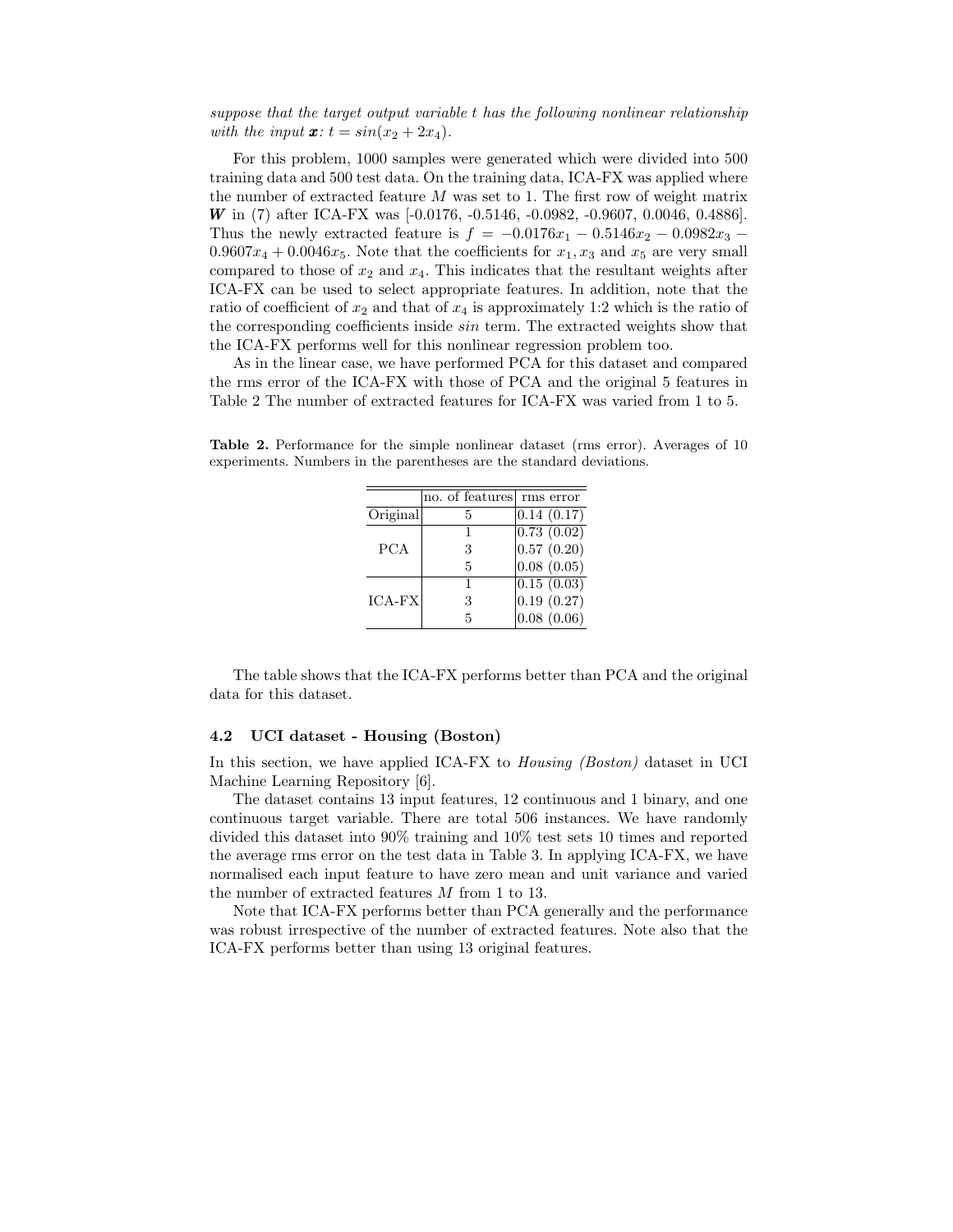### suppose that the target output variable t has the following nonlinear relationship with the input  $\mathbf{x}: t = \sin(x_2 + 2x_4)$ .

For this problem, 1000 samples were generated which were divided into 500 training data and 500 test data. On the training data, ICA-FX was applied where the number of extracted feature  $M$  was set to 1. The first row of weight matrix W in (7) after ICA-FX was [-0.0176, -0.5146, -0.0982, -0.9607, 0.0046, 0.4886]. Thus the newly extracted feature is  $f = -0.0176x_1 - 0.5146x_2 - 0.0982x_3 - 0.098x_2$  $0.9607x_4 + 0.0046x_5$ . Note that the coefficients for  $x_1, x_3$  and  $x_5$  are very small compared to those of  $x_2$  and  $x_4$ . This indicates that the resultant weights after ICA-FX can be used to select appropriate features. In addition, note that the ratio of coefficient of  $x_2$  and that of  $x_4$  is approximately 1:2 which is the ratio of the corresponding coefficients inside sin term. The extracted weights show that the ICA-FX performs well for this nonlinear regression problem too.

As in the linear case, we have performed PCA for this dataset and compared the rms error of the ICA-FX with those of PCA and the original 5 features in Table 2 The number of extracted features for ICA-FX was varied from 1 to 5.

|            | no. of features | rms error  |
|------------|-----------------|------------|
| Original   |                 | 0.14(0.17) |
|            |                 | 0.73(0.02) |
| <b>PCA</b> | 3               | 0.57(0.20) |
|            | 5               | 0.08(0.05) |
|            |                 | 0.15(0.03) |
| ICA-FX     | 3               | 0.19(0.27) |
|            | 5               | 0.08(0.06) |

Table 2. Performance for the simple nonlinear dataset (rms error). Averages of 10 experiments. Numbers in the parentheses are the standard deviations.

The table shows that the ICA-FX performs better than PCA and the original data for this dataset.

### 4.2 UCI dataset - Housing (Boston)

In this section, we have applied ICA-FX to *Housing (Boston)* dataset in UCI Machine Learning Repository [6].

The dataset contains 13 input features, 12 continuous and 1 binary, and one continuous target variable. There are total 506 instances. We have randomly divided this dataset into 90% training and 10% test sets 10 times and reported the average rms error on the test data in Table 3. In applying ICA-FX, we have normalised each input feature to have zero mean and unit variance and varied the number of extracted features M from 1 to 13.

Note that ICA-FX performs better than PCA generally and the performance was robust irrespective of the number of extracted features. Note also that the ICA-FX performs better than using 13 original features.